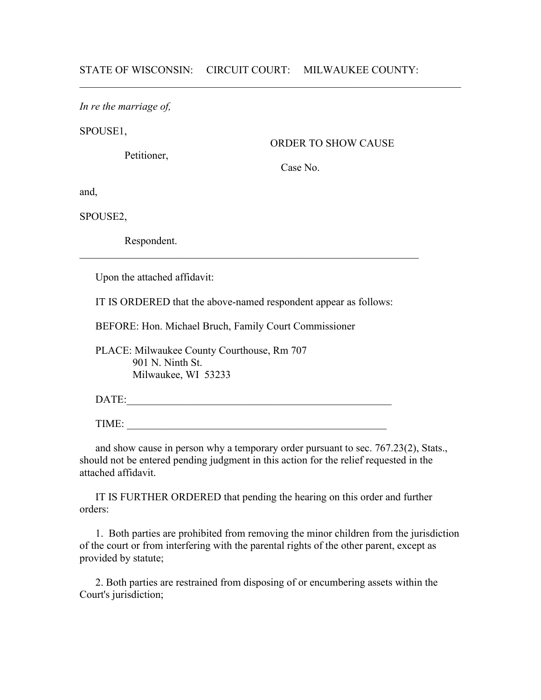$\mathcal{L}_\text{max} = \mathcal{L}_\text{max} = \mathcal{L}_\text{max} = \mathcal{L}_\text{max} = \mathcal{L}_\text{max} = \mathcal{L}_\text{max} = \mathcal{L}_\text{max} = \mathcal{L}_\text{max} = \mathcal{L}_\text{max} = \mathcal{L}_\text{max} = \mathcal{L}_\text{max} = \mathcal{L}_\text{max} = \mathcal{L}_\text{max} = \mathcal{L}_\text{max} = \mathcal{L}_\text{max} = \mathcal{L}_\text{max} = \mathcal{L}_\text{max} = \mathcal{L}_\text{max} = \mathcal{$ 

*In re the marriage of,*

SPOUSE1,

Petitioner,

ORDER TO SHOW CAUSE

Case No.

and,

SPOUSE2,

Respondent.

Upon the attached affidavit:

IT IS ORDERED that the above-named respondent appear as follows:

 $\mathcal{L}_\text{max}$  , and the contribution of the contribution of the contribution of the contribution of the contribution of the contribution of the contribution of the contribution of the contribution of the contribution of t

BEFORE: Hon. Michael Bruch, Family Court Commissioner

 PLACE: Milwaukee County Courthouse, Rm 707 901 N. Ninth St. Milwaukee, WI 53233

DATE:\_\_\_\_\_\_\_\_\_\_\_\_\_\_\_\_\_\_\_\_\_\_\_\_\_\_\_\_\_\_\_\_\_\_\_\_\_\_\_\_\_\_\_\_\_\_\_\_\_\_

TIME: \_\_\_\_\_\_\_\_\_\_\_\_\_\_\_\_\_\_\_\_\_\_\_\_\_\_\_\_\_\_\_\_\_\_\_\_\_\_\_\_\_\_\_\_\_\_\_\_\_

 and show cause in person why a temporary order pursuant to sec. 767.23(2), Stats., should not be entered pending judgment in this action for the relief requested in the attached affidavit.

 IT IS FURTHER ORDERED that pending the hearing on this order and further orders:

 1. Both parties are prohibited from removing the minor children from the jurisdiction of the court or from interfering with the parental rights of the other parent, except as provided by statute;

 2. Both parties are restrained from disposing of or encumbering assets within the Court's jurisdiction;